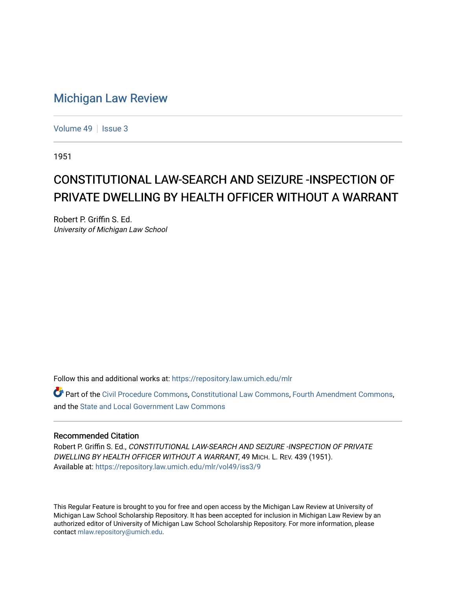## [Michigan Law Review](https://repository.law.umich.edu/mlr)

[Volume 49](https://repository.law.umich.edu/mlr/vol49) | [Issue 3](https://repository.law.umich.edu/mlr/vol49/iss3)

1951

## CONSTITUTIONAL LAW-SEARCH AND SEIZURE -INSPECTION OF PRIVATE DWELLING BY HEALTH OFFICER WITHOUT A WARRANT

Robert P. Griffin S. Ed. University of Michigan Law School

Follow this and additional works at: [https://repository.law.umich.edu/mlr](https://repository.law.umich.edu/mlr?utm_source=repository.law.umich.edu%2Fmlr%2Fvol49%2Fiss3%2F9&utm_medium=PDF&utm_campaign=PDFCoverPages) 

Part of the [Civil Procedure Commons,](http://network.bepress.com/hgg/discipline/584?utm_source=repository.law.umich.edu%2Fmlr%2Fvol49%2Fiss3%2F9&utm_medium=PDF&utm_campaign=PDFCoverPages) [Constitutional Law Commons](http://network.bepress.com/hgg/discipline/589?utm_source=repository.law.umich.edu%2Fmlr%2Fvol49%2Fiss3%2F9&utm_medium=PDF&utm_campaign=PDFCoverPages), [Fourth Amendment Commons,](http://network.bepress.com/hgg/discipline/1180?utm_source=repository.law.umich.edu%2Fmlr%2Fvol49%2Fiss3%2F9&utm_medium=PDF&utm_campaign=PDFCoverPages) and the [State and Local Government Law Commons](http://network.bepress.com/hgg/discipline/879?utm_source=repository.law.umich.edu%2Fmlr%2Fvol49%2Fiss3%2F9&utm_medium=PDF&utm_campaign=PDFCoverPages) 

## Recommended Citation

Robert P. Griffin S. Ed., CONSTITUTIONAL LAW-SEARCH AND SEIZURE -INSPECTION OF PRIVATE DWELLING BY HEALTH OFFICER WITHOUT A WARRANT, 49 MICH. L. REV. 439 (1951). Available at: [https://repository.law.umich.edu/mlr/vol49/iss3/9](https://repository.law.umich.edu/mlr/vol49/iss3/9?utm_source=repository.law.umich.edu%2Fmlr%2Fvol49%2Fiss3%2F9&utm_medium=PDF&utm_campaign=PDFCoverPages)

This Regular Feature is brought to you for free and open access by the Michigan Law Review at University of Michigan Law School Scholarship Repository. It has been accepted for inclusion in Michigan Law Review by an authorized editor of University of Michigan Law School Scholarship Repository. For more information, please contact [mlaw.repository@umich.edu](mailto:mlaw.repository@umich.edu).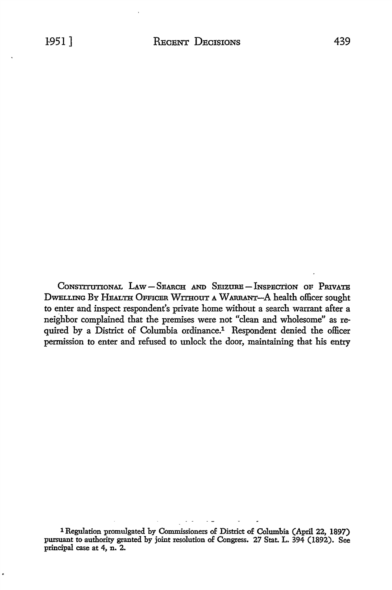CONSTITUTIONAL LAW-SEARCH AND SEIZURE-INSPECTION OF PRIVATE DWELLING BY HEALTH OFFICER WITHOUT A WARRANT-A health officer sought to enter and inspect respondent's private home without a search warrant after a neighbor complained that the premises were not "clean and wholesome" as required by a District of Columbia ordinance.<sup>1</sup> Respondent denied the officer permission to enter and refused to unlock the door, maintaining that his entry

1 Regulation promulgated by Commissioners *oE* District *oE* Columbia (April 22, 1897) pursuant to authority granted by joint resolution *oE* Congress. 27 Stat. L. 394 (1892). See principal case at 4, n. 2.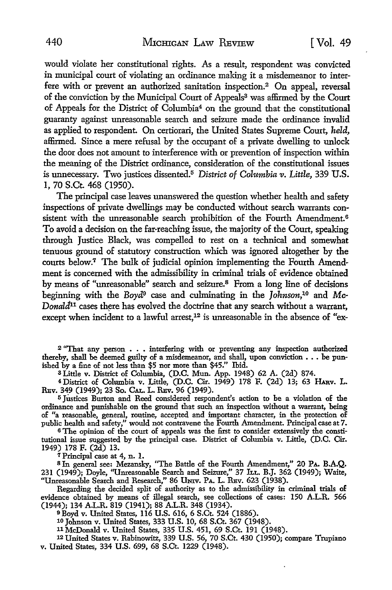would violate her constitutional rights. As a result, respondent was convicted in municipal court of violating an ordinance making it a misdemeanor to interfere with or prevent an authorized sanitation inspection.2 On appeal, reversal of the conviction by the Municipal Court of Appeals<sup>3</sup> was affirmed by the Court of Appeals for the District of Columbia4 on the ground that the constitutional guaranty against unreasonable search and seizure made the ordinance invalid as applied to respondent. On certiorari, the United States Supreme Court, *held,*  affirmed. Since a mere refusal by the occupant of a private dwelling to unlock the door does not amount to interference with or prevention of inspection within the meaning of the District ordinance, consideration of the constitutional issues is unnecessary. Two justices dissented.5 *District of Columbia v. Little,* 339 U.S. I, 70 S.Ct. 468 (1950).

The principal case leaves unanswered the question whether health and safety inspections of private dwellings may be conducted without search warrants consistent with the unreasonable search prohibition of the Fourth Amendment.<sup>6</sup> To avoid a decision on the far-reaching issue, the majority of the Court, speaking through Justice Black, was compelled to rest on a technical and somewhat tenuous ground of statutory construction which was ignored altogether by the courts below.7 The bulk of judicial opinion implementing the Fourth Amendment is concerned with the admissibility in criminal trials of evidence obtained by means of "unreasonable" search and seizure.<sup>8</sup> From a long line of decisions beginning with the *Boyd9* case and culminating in the *Johnson,10* and *Mc-Donald*<sup>11</sup> cases there has evolved the doctrine that any search without a warrant, except when incident to a lawful arrest,<sup>12</sup> is unreasonable in the absence of "ex-

<sup>2</sup>"That any person • . • interfering with or preventing any inspection authorized thereby, shall be deemed guilty of a misdemeanor, and shall, upon conviction  $\ldots$  be punished by a fine of not less than \$5 nor more than \$45." Ibid.

a Little v. District of Columbia, (D.C. Mun. App. 1948) 62 A. (2d) 874.

<sup>4</sup> District of Columbia v. Little, (D.C. Cir. 1949) 178 F. (2d) 13; 63 HARV. L. REv. 349 (1949); 23 So. CAL. L. REv. 96 (1949).

<sup>5</sup>Justices Burton and Reed considered respondent's action to be a violation of the ordinance and punishable on the ground that such an inspection without a warrant, being of "a reasonable, general, routine, accepted and important character, in the protection of public health and safety," would not contravene the Fourth Amendment. Principal case at 7.

6 The opinion of the court of appeals was the first to consider extensively the constitutional issue suggested by the principal case. District of Columbia v. Little, (D.C. Cir. 1949) 178 F. (2d) 13.<br><sup>7</sup> Principal case at 4, n. 1.

<sup>7</sup> Principal case at 4, n. 1.<br><sup>8</sup> In general see: Mezansky, ''The Battle of the Fourth Amendment,'' 20 PA. B.A.Q. 231 (1949); Doyle, "Umeasonable Search and Seizure," 37 ILL. B.J. 362 (1949); Waite, "Unreasonable Search and Research," 86 UNIV. PA. L. REV. 623 (1938).

Regarding the decided split of authority as to the admissibility in criminal trials of evidence obtained by means of illegal search, see collections of cases: 150 A.L.R. 566 (1944); 134 A.L.R. 819 (1941); 88 A.L.R. 348 (1934).

<sup>9</sup>Boyd v. United States, 116 U.S. 616, 6 S.Ct. 524 (1886).

<sup>10</sup> Johnson v. United States, 333 U.S. 10, 68 S.Ct. 367 (1948).<br><sup>11</sup> McDonald v. United States, 335 U.S. 451, 69 S.Ct. 191 (1948).

12 United States v. Rabinowitz, 339 U.S. 56, 70 S.Ct. 430 (1950); compare Trupiano v. United States, 334 U.S. 699, 68 S.Ct. 1229 (1948).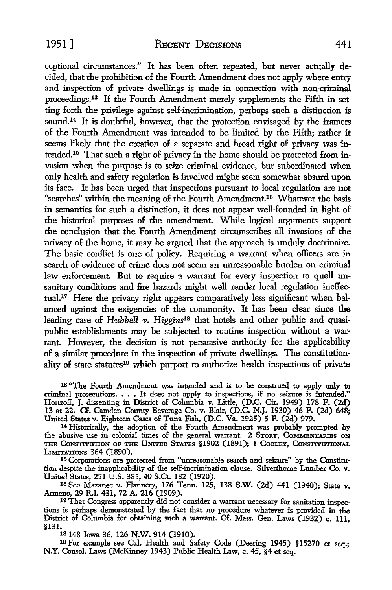ceptional circumstances." It has been often repeated, but never actually decided, that the prohibition of the Fourth Amendment does not apply where entry and inspection of private dwellings is made in connection with non-criminal proceedings.<sup>13</sup> If the Fourth Amendment merely supplements the Fifth in setting forth the privilege against self-incrimination, perhaps such a distinction is sound.<sup>14</sup> It is doubtful, however, that the protection envisaged by the framers of the Fourth Amendment was intended to be limited by the Fifth; rather it seems likely that the creation of a separate and broad right of privacy was in $t$ ended.<sup>15</sup> That such a right of privacy in the home should be protected from invasion when the purpose is to seize criminal evidence, but subordinated when only health and safety regulation is involved might seem somewhat absurd upon its face. It has been urged that inspections pursuant to local regulation are not "searches" within the meaning of the Fourth Amendment.16 Whatever the basis in semantics for such a distinction, it does not appear well-founded in light of the historical purposes of the amendment. While logical arguments support the conclusion that the Fourth Amendment circumscribes all invasions of the privacy of the home, it may be argued that the approach is unduly doctrinaire. The basic conflict is one of policy. Requiring a warrant when officers are in search of evidence of crime does not seem an unreasonable burden on criminal law enforcement. But to require a warrant for every inspection to quell unsanitary conditions and fire hazards might well render local regulation ineffectual.17 Here the privacy right appears comparatively less significant when balanced against the exigencies of the community. It has been clear since the leading case of *Hubbell v. Higgins18* that hotels and other public and quasipublic establishments may be subjected to routine inspection without a warrant. However, the decision is not persuasive authority for the applicability of a similar procedure in the inspection of private dwellings. The constitutionality of state statutes<sup>19</sup> which purport to authorize health inspections of private

13 "The Fourth Amendment was intended and is to be construed to apply only to criminal prosecutions. • • • It does not apply to inspections, if no seizure is intended." Hortzoff, J. dissenting in District of Columbia v. Little, (D.C. Cir. 1949) 178 F. (2d) 13 at 22. Cf. Camden County Beverage Co. v. Blair, (D.C. N.J. 1930) 46 F. (2d) 648; United States v. Eighteen Cases of Tuna Fish, (D.C. Va. 1925) 5 F. (2d) 979.

14 Historically, the adoption of the Fourth Amendment was probably prompted by the abusive use in colonial times of the general warrant. 2 STORY, CoMMBNTAIUEs **ON**  THE CONSTITUTION OF THE UNITED STATES §1902 (1891); 1 COOLEY, CONSTITUTIONAL LIMITATIONS 364 (1890).

115 Corporations are protected from "unreasonable search and seizure" by the Constitution despite the inapplicability of the self-incrimination clause. Silverthorne Lumber Co. v. United States, 251 U.S. 385, 40 S.Ct. 182 (1920).

16 See Mazanec v. Flannery, 176 Tenn. 125, 138 S.W. (2d) 441 (1940); State v. Armeno, 29 R.I. 431, 72 A. 216 (1909).

17 That Congress apparently did not consider a warrant necessary for sanitation inspections is perhaps demonstrated by the fact that no procedure whatever is provided in the District of Columbia for obtaining such a warrant. Cf. Mass. Gen. Laws (1932) c. 111, §131.

§131. 18 148 Iowa 36, 126 **N.W.** 914 (1910).

19 For example see Cal. Health and Safety Code (Deering 1945) §15270 et seq.; N.Y. Consol. Laws (McKinney 1943) Public Health Law, c. 45, §4 et seq.